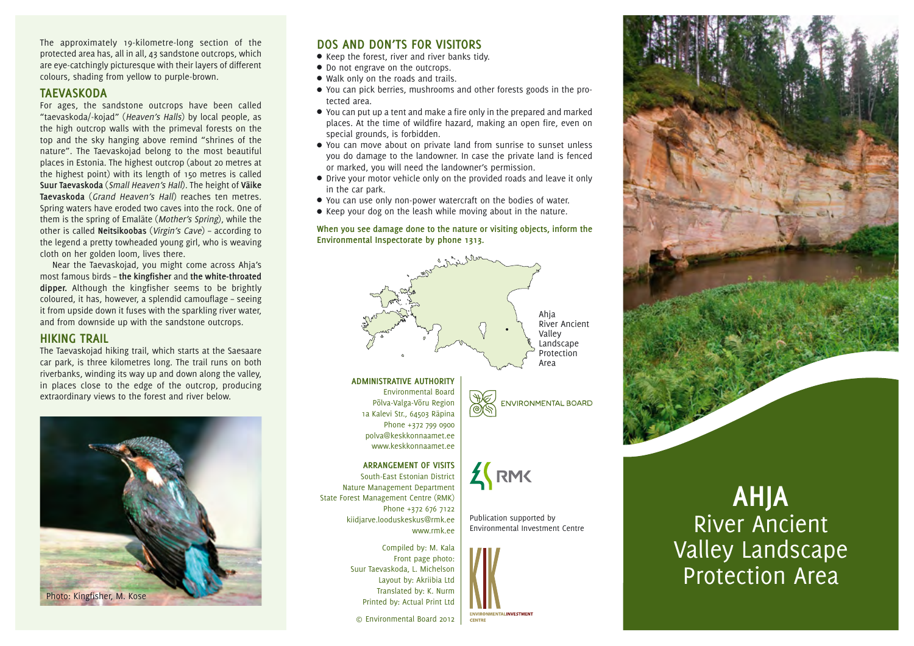The approximately 19-kilometre-long section of the protected area has, all in all, 43 sandstone outcrops, which are eye-catchingly picturesque with their layers of different colours, shading from yellow to purple-brown.

## **TAEVASKODA**

For ages, the sandstone outcrops have been called "taevaskoda/-kojad" (Heaven's Halls) by local people, as the high outcrop walls with the primeval forests on the top and the sky hanging above remind "shrines of the nature". The Taevaskojad belong to the most beautiful places in Estonia. The highest outcrop (about 20 metres at the highest point) with its length of 150 metres is called **Suur Taevaskoda** (Small Heaven's Hall). The height of **Väike Taevaskoda** (Grand Heaven's Hall) reaches ten metres. Spring waters have eroded two caves into the rock. One of them is the spring of Emaläte (Mother's Spring), while the other is called **Neitsikoobas** (Virgin's Cave) – according to the legend a pretty towheaded young girl, who is weaving cloth on her golden loom, lives there.

Near the Taevaskojad, you might come across Ahja's most famous birds – **the kingfisher** and **the white-throated dipper.** Although the kingfisher seems to be brightly coloured, it has, however, a splendid camouflage – seeing it from upside down it fuses with the sparkling river water, and from downside up with the sandstone outcrops.

## **HIKING TRAIL**

The Taevaskojad hiking trail, which starts at the Saesaare car park, is three kilometres long. The trail runs on both riverbanks, winding its way up and down along the valley, in places close to the edge of the outcrop, producing extraordinary views to the forest and river below.



## **DOS AND DON'TS FOR VISITORS**

- Keep the forest, river and river banks tidy.
- Do not engrave on the outcrops.
- Walk only on the roads and trails.
- You can pick berries, mushrooms and other forests goods in the protected area.
- You can put up a tent and make a fire only in the prepared and marked places. At the time of wildfire hazard, making an open fire, even on special grounds, is forbidden.
- You can move about on private land from sunrise to sunset unless you do damage to the landowner. In case the private land is fenced or marked, you will need the landowner's permission.
- Drive your motor vehicle only on the provided roads and leave it only in the car park.
- You can use only non-power watercraft on the bodies of water.
- Keep your dog on the leash while moving about in the nature.

**When you see damage done to the nature or visiting objects, inform the Environmental Inspectorate by phone 1313.**



**ADMINISTRATIVE AUTHORITY**

Environmental Board Põlva-Valga-Võru Region 1a Kalevi Str., 64503 Räpina Phone +372 799 0900 polva@keskkonnaamet.ee www.keskkonnaamet.ee

## **ARRANGEMENT OF VISITS**

South-East Estonian District Nature Management Department State Forest Management Centre (RMK) Phone +372 676 7122 kiidjarve.looduskeskus@rmk.ee www.rmk.ee

> Compiled by: M. Kala Front page photo: Suur Taevaskoda, L. Michelson Layout by: Akriibia Ltd Translated by: K. Nurm Printed by: Actual Print Ltd

© Environmental Board 2012



**kaas** Protection Area **AHJA** River Ancient Valley Landscape



Publication supported by Environmental Investment Centre

**FNVIRONMENTAL BOARD**